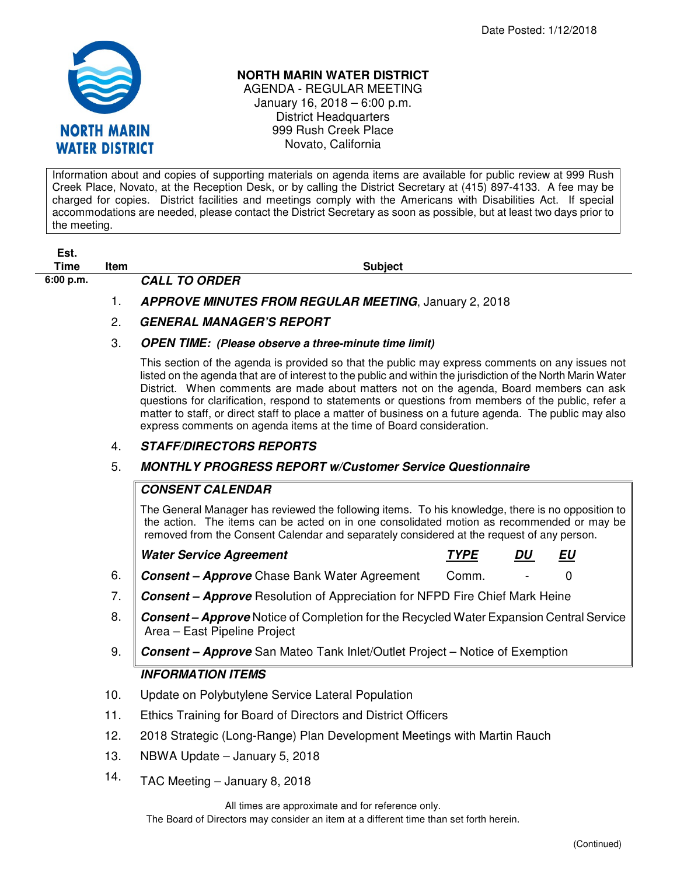

## **NORTH MARIN WATER DISTRICT**

AGENDA - REGULAR MEETING January 16, 2018 – 6:00 p.m. District Headquarters 999 Rush Creek Place Novato, California

Information about and copies of supporting materials on agenda items are available for public review at 999 Rush Creek Place, Novato, at the Reception Desk, or by calling the District Secretary at (415) 897-4133. A fee may be charged for copies. District facilities and meetings comply with the Americans with Disabilities Act. If special accommodations are needed, please contact the District Secretary as soon as possible, but at least two days prior to the meeting.

**Est.** 

**6:00 p.m. CALL TO ORDER** 

**Time Item Subject** 

- 1. **APPROVE MINUTES FROM REGULAR MEETING**, January 2, 2018
- 2. **GENERAL MANAGER'S REPORT**
- 3. **OPEN TIME: (Please observe a three-minute time limit)**

This section of the agenda is provided so that the public may express comments on any issues not listed on the agenda that are of interest to the public and within the jurisdiction of the North Marin Water District. When comments are made about matters not on the agenda, Board members can ask questions for clarification, respond to statements or questions from members of the public, refer a matter to staff, or direct staff to place a matter of business on a future agenda. The public may also express comments on agenda items at the time of Board consideration.

# 4. **STAFF/DIRECTORS REPORTS**

# 5. **MONTHLY PROGRESS REPORT w/Customer Service Questionnaire**

# **CONSENT CALENDAR**

The General Manager has reviewed the following items. To his knowledge, there is no opposition to the action. The items can be acted on in one consolidated motion as recommended or may be removed from the Consent Calendar and separately considered at the request of any person.

|      | <b>Water Service Agreement</b>                                                                                                 | <b>TYPE</b> | DU | EU |  |
|------|--------------------------------------------------------------------------------------------------------------------------------|-------------|----|----|--|
| 6.   | Consent - Approve Chase Bank Water Agreement                                                                                   | Comm.       |    |    |  |
|      | 7. Consent – Approve Resolution of Appreciation for NFPD Fire Chief Mark Heine                                                 |             |    |    |  |
| 8. . | <b>Consent – Approve</b> Notice of Completion for the Recycled Water Expansion Central Service<br>Area - East Pipeline Project |             |    |    |  |

9. **Consent – Approve** San Mateo Tank Inlet/Outlet Project – Notice of Exemption

# **INFORMATION ITEMS**

- 10. Update on Polybutylene Service Lateral Population
- 11. Ethics Training for Board of Directors and District Officers
- 12. 2018 Strategic (Long-Range) Plan Development Meetings with Martin Rauch
- 13. NBWA Update January 5, 2018
- 14. TAC Meeting January 8, 2018

All times are approximate and for reference only.

The Board of Directors may consider an item at a different time than set forth herein.